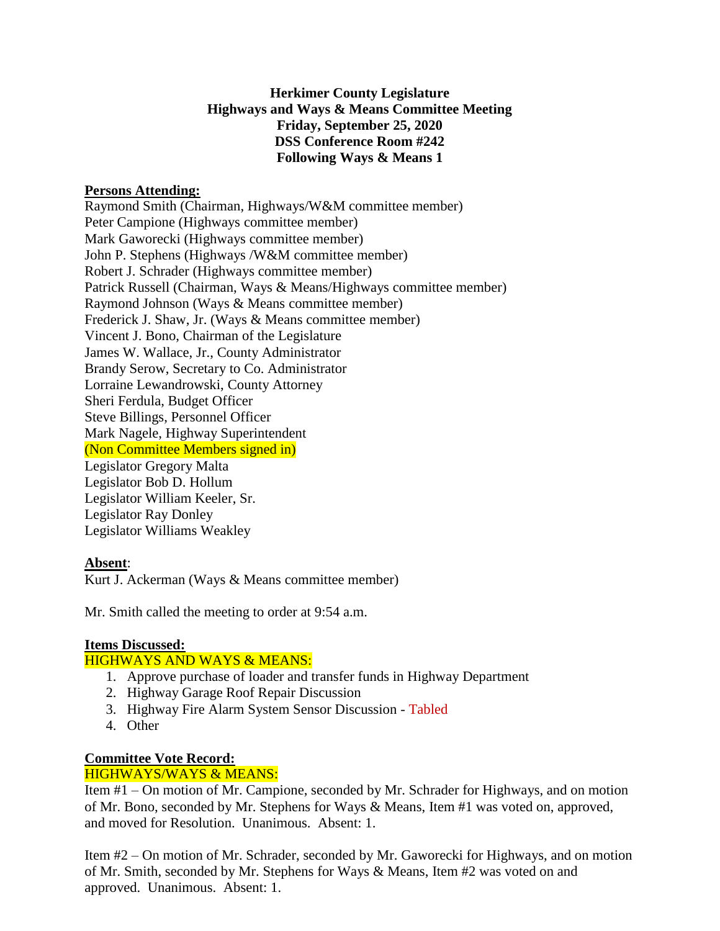## **Herkimer County Legislature Highways and Ways & Means Committee Meeting Friday, September 25, 2020 DSS Conference Room #242 Following Ways & Means 1**

### **Persons Attending:**

Raymond Smith (Chairman, Highways/W&M committee member) Peter Campione (Highways committee member) Mark Gaworecki (Highways committee member) John P. Stephens (Highways /W&M committee member) Robert J. Schrader (Highways committee member) Patrick Russell (Chairman, Ways & Means/Highways committee member) Raymond Johnson (Ways & Means committee member) Frederick J. Shaw, Jr. (Ways & Means committee member) Vincent J. Bono, Chairman of the Legislature James W. Wallace, Jr., County Administrator Brandy Serow, Secretary to Co. Administrator Lorraine Lewandrowski, County Attorney Sheri Ferdula, Budget Officer Steve Billings, Personnel Officer Mark Nagele, Highway Superintendent (Non Committee Members signed in) Legislator Gregory Malta Legislator Bob D. Hollum Legislator William Keeler, Sr. Legislator Ray Donley Legislator Williams Weakley

## **Absent**:

Kurt J. Ackerman (Ways & Means committee member)

Mr. Smith called the meeting to order at 9:54 a.m.

#### **Items Discussed:**

#### HIGHWAYS AND WAYS & MEANS:

- 1. Approve purchase of loader and transfer funds in Highway Department
- 2. Highway Garage Roof Repair Discussion
- 3. Highway Fire Alarm System Sensor Discussion Tabled
- 4. Other

# **Committee Vote Record:**

## HIGHWAYS/WAYS & MEANS:

Item #1 – On motion of Mr. Campione, seconded by Mr. Schrader for Highways, and on motion of Mr. Bono, seconded by Mr. Stephens for Ways & Means, Item #1 was voted on, approved, and moved for Resolution. Unanimous. Absent: 1.

Item #2 – On motion of Mr. Schrader, seconded by Mr. Gaworecki for Highways, and on motion of Mr. Smith, seconded by Mr. Stephens for Ways & Means, Item #2 was voted on and approved. Unanimous. Absent: 1.